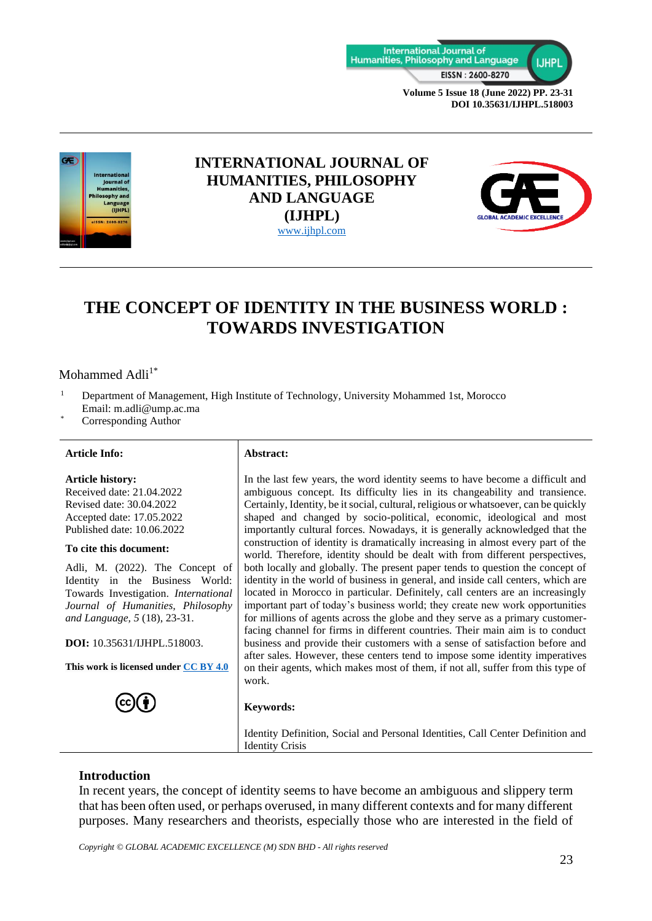



# **INTERNATIONAL JOURNAL OF HUMANITIES, PHILOSOPHY AND LANGUAGE (IJHPL)** [www.ijhpl.com](http://www.ijhpl.com/)



# **THE CONCEPT OF IDENTITY IN THE BUSINESS WORLD : TOWARDS INVESTIGATION**

# Mohammed Adli $1^*$

- <sup>1</sup> Department of Management, High Institute of Technology, University Mohammed 1st, Morocco Email: m.adli@ump.ac.ma
- Corresponding Author

#### **Article Info: Abstract:**

#### **Article history:**

Received date: 21.04.2022 Revised date: 30.04.2022 Accepted date: 17.05.2022 Published date: 10.06.2022

#### **To cite this document:**

Adli, M. (2022). The Concept of Identity in the Business World: Towards Investigation. *International Journal of Humanities, Philosophy and Language, 5* (18), 23-31.

**DOI:** 10.35631/IJHPL.518003.

**This work is licensed under [CC BY 4.0](https://creativecommons.org/licenses/by/4.0/?ref=chooser-v1)**



In the last few years, the word identity seems to have become a difficult and ambiguous concept. Its difficulty lies in its changeability and transience. Certainly, Identity, be it social, cultural, religious or whatsoever, can be quickly shaped and changed by socio-political, economic, ideological and most importantly cultural forces. Nowadays, it is generally acknowledged that the construction of identity is dramatically increasing in almost every part of the world. Therefore, identity should be dealt with from different perspectives, both locally and globally. The present paper tends to question the concept of identity in the world of business in general, and inside call centers, which are located in Morocco in particular. Definitely, call centers are an increasingly important part of today's business world; they create new work opportunities for millions of agents across the globe and they serve as a primary customerfacing channel for firms in different countries. Their main aim is to conduct business and provide their customers with a sense of satisfaction before and after sales. However, these centers tend to impose some identity imperatives on their agents, which makes most of them, if not all, suffer from this type of work.

## **Keywords:**

Identity Definition, Social and Personal Identities, Call Center Definition and Identity Crisis

# **Introduction**

In recent years, the concept of identity seems to have become an ambiguous and slippery term that has been often used, or perhaps overused, in many different contexts and for many different purposes. Many researchers and theorists, especially those who are interested in the field of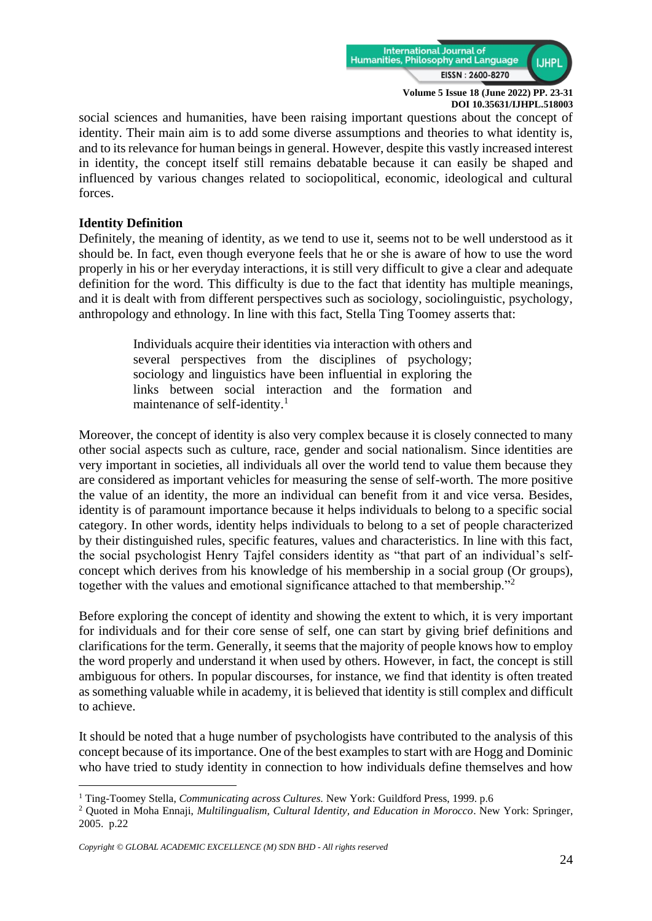

social sciences and humanities, have been raising important questions about the concept of identity. Their main aim is to add some diverse assumptions and theories to what identity is, and to its relevance for human beings in general. However, despite this vastly increased interest in identity, the concept itself still remains debatable because it can easily be shaped and influenced by various changes related to sociopolitical, economic, ideological and cultural forces.

# **Identity Definition**

Definitely, the meaning of identity, as we tend to use it, seems not to be well understood as it should be. In fact, even though everyone feels that he or she is aware of how to use the word properly in his or her everyday interactions, it is still very difficult to give a clear and adequate definition for the word. This difficulty is due to the fact that identity has multiple meanings, and it is dealt with from different perspectives such as sociology, sociolinguistic, psychology, anthropology and ethnology. In line with this fact, Stella Ting Toomey asserts that:

> Individuals acquire their identities via interaction with others and several perspectives from the disciplines of psychology; sociology and linguistics have been influential in exploring the links between social interaction and the formation and maintenance of self-identity.<sup>1</sup>

Moreover, the concept of identity is also very complex because it is closely connected to many other social aspects such as culture, race, gender and social nationalism. Since identities are very important in societies, all individuals all over the world tend to value them because they are considered as important vehicles for measuring the sense of self-worth. The more positive the value of an identity, the more an individual can benefit from it and vice versa. Besides, identity is of paramount importance because it helps individuals to belong to a specific social category. In other words, identity helps individuals to belong to a set of people characterized by their distinguished rules, specific features, values and characteristics. In line with this fact, the social psychologist Henry Tajfel considers identity as "that part of an individual's selfconcept which derives from his knowledge of his membership in a social group (Or groups), together with the values and emotional significance attached to that membership."<sup>2</sup>

Before exploring the concept of identity and showing the extent to which, it is very important for individuals and for their core sense of self, one can start by giving brief definitions and clarifications for the term. Generally, it seems that the majority of people knows how to employ the word properly and understand it when used by others. However, in fact, the concept is still ambiguous for others. In popular discourses, for instance, we find that identity is often treated as something valuable while in academy, it is believed that identity is still complex and difficult to achieve.

It should be noted that a huge number of psychologists have contributed to the analysis of this concept because of its importance. One of the best examples to start with are Hogg and Dominic who have tried to study identity in connection to how individuals define themselves and how

<sup>1</sup> Ting-Toomey Stella, *Communicating across Cultures.* New York: Guildford Press, 1999. p.6

<sup>2</sup> Quoted in Moha Ennaji, *Multilingualism, Cultural Identity, and Education in Morocco*. New York: Springer, 2005. p.22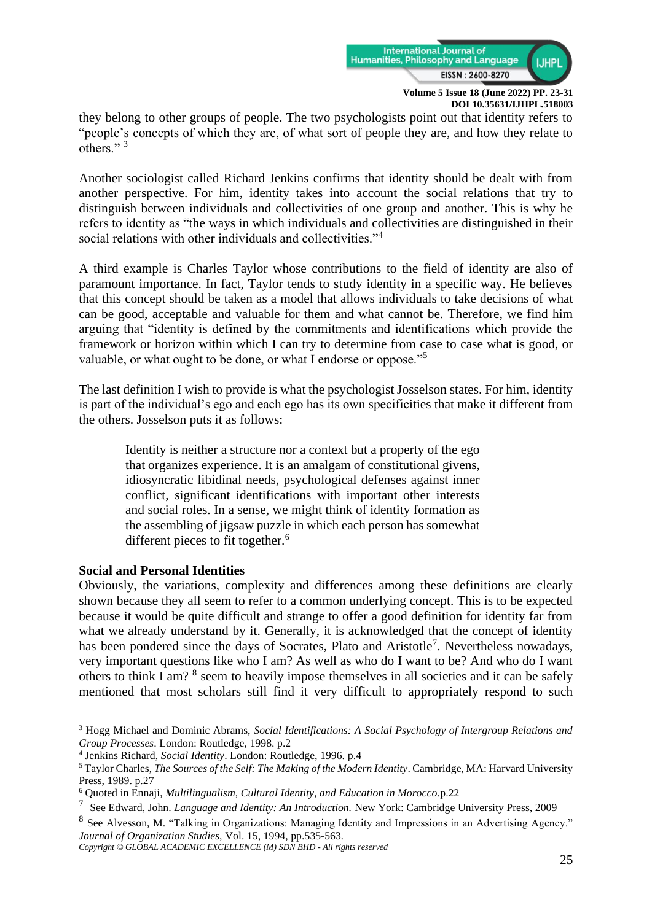

they belong to other groups of people. The two psychologists point out that identity refers to "people's concepts of which they are, of what sort of people they are, and how they relate to others."<sup>3</sup>

Another sociologist called Richard Jenkins confirms that identity should be dealt with from another perspective. For him, identity takes into account the social relations that try to distinguish between individuals and collectivities of one group and another. This is why he refers to identity as "the ways in which individuals and collectivities are distinguished in their social relations with other individuals and collectivities."<sup>4</sup>

A third example is Charles Taylor whose contributions to the field of identity are also of paramount importance. In fact, Taylor tends to study identity in a specific way. He believes that this concept should be taken as a model that allows individuals to take decisions of what can be good, acceptable and valuable for them and what cannot be. Therefore, we find him arguing that "identity is defined by the commitments and identifications which provide the framework or horizon within which I can try to determine from case to case what is good, or valuable, or what ought to be done, or what I endorse or oppose."<sup>5</sup>

The last definition I wish to provide is what the psychologist Josselson states. For him, identity is part of the individual's ego and each ego has its own specificities that make it different from the others. Josselson puts it as follows:

Identity is neither a structure nor a context but a property of the ego that organizes experience. It is an amalgam of constitutional givens, idiosyncratic libidinal needs, psychological defenses against inner conflict, significant identifications with important other interests and social roles. In a sense, we might think of identity formation as the assembling of jigsaw puzzle in which each person has somewhat different pieces to fit together.<sup>6</sup>

# **Social and Personal Identities**

Obviously, the variations, complexity and differences among these definitions are clearly shown because they all seem to refer to a common underlying concept. This is to be expected because it would be quite difficult and strange to offer a good definition for identity far from what we already understand by it. Generally, it is acknowledged that the concept of identity has been pondered since the days of Socrates, Plato and Aristotle<sup>7</sup>. Nevertheless nowadays, very important questions like who I am? As well as who do I want to be? And who do I want others to think I am? <sup>8</sup> seem to heavily impose themselves in all societies and it can be safely mentioned that most scholars still find it very difficult to appropriately respond to such

<sup>3</sup> Hogg Michael and Dominic Abrams, *Social Identifications: A Social Psychology of Intergroup Relations and Group Processes*. London: Routledge, 1998. p.2

<sup>4</sup> Jenkins Richard, *Social Identity*. London: Routledge, 1996. p.4

<sup>5</sup> Taylor Charles, *The Sources of the Self: The Making of the Modern Identity*. Cambridge, MA: Harvard University Press, 1989. p.27

<sup>6</sup> Quoted in Ennaji, *Multilingualism, Cultural Identity, and Education in Morocco.*p.22

<sup>7</sup> See Edward, John. *Language and Identity: An Introduction.* New York: Cambridge University Press, 2009

<sup>&</sup>lt;sup>8</sup> See Alvesson, M. "Talking in Organizations: Managing Identity and Impressions in an Advertising Agency." *Journal of Organization Studies,* Vol. 15, 1994, pp.535-563*.* 

*Copyright © GLOBAL ACADEMIC EXCELLENCE (M) SDN BHD - All rights reserved*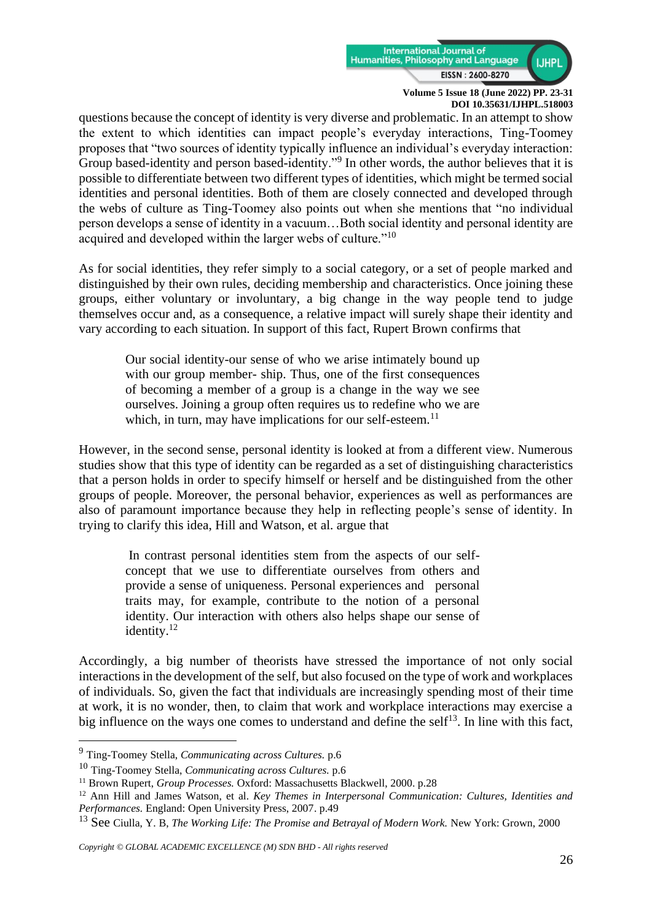

questions because the concept of identity is very diverse and problematic. In an attempt to show the extent to which identities can impact people's everyday interactions, Ting-Toomey proposes that "two sources of identity typically influence an individual's everyday interaction: Group based-identity and person based-identity."<sup>9</sup> In other words, the author believes that it is possible to differentiate between two different types of identities, which might be termed social identities and personal identities. Both of them are closely connected and developed through the webs of culture as Ting-Toomey also points out when she mentions that "no individual person develops a sense of identity in a vacuum…Both social identity and personal identity are acquired and developed within the larger webs of culture."<sup>10</sup>

As for social identities, they refer simply to a social category, or a set of people marked and distinguished by their own rules, deciding membership and characteristics. Once joining these groups, either voluntary or involuntary, a big change in the way people tend to judge themselves occur and, as a consequence, a relative impact will surely shape their identity and vary according to each situation. In support of this fact, Rupert Brown confirms that

Our social identity-our sense of who we arise intimately bound up with our group member- ship. Thus, one of the first consequences of becoming a member of a group is a change in the way we see ourselves. Joining a group often requires us to redefine who we are which, in turn, may have implications for our self-esteem.<sup>11</sup>

However, in the second sense, personal identity is looked at from a different view. Numerous studies show that this type of identity can be regarded as a set of distinguishing characteristics that a person holds in order to specify himself or herself and be distinguished from the other groups of people. Moreover, the personal behavior, experiences as well as performances are also of paramount importance because they help in reflecting people's sense of identity. In trying to clarify this idea, Hill and Watson, et al. argue that

In contrast personal identities stem from the aspects of our selfconcept that we use to differentiate ourselves from others and provide a sense of uniqueness. Personal experiences and personal traits may, for example, contribute to the notion of a personal identity. Our interaction with others also helps shape our sense of identity.<sup>12</sup>

Accordingly, a big number of theorists have stressed the importance of not only social interactions in the development of the self, but also focused on the type of work and workplaces of individuals. So, given the fact that individuals are increasingly spending most of their time at work, it is no wonder, then, to claim that work and workplace interactions may exercise a big influence on the ways one comes to understand and define the self<sup>13</sup>. In line with this fact,

<sup>9</sup> Ting-Toomey Stella, *Communicating across Cultures.* p.6

<sup>10</sup> Ting-Toomey Stella, *Communicating across Cultures.* p.6

<sup>&</sup>lt;sup>11</sup> Brown Rupert, *Group Processes*. Oxford: Massachusetts Blackwell, 2000. p.28

<sup>12</sup> Ann Hill and James Watson, et al. *Key Themes in Interpersonal Communication: Cultures, Identities and Performances.* England: Open University Press, 2007. p.49

<sup>&</sup>lt;sup>13</sup> See Ciulla, Y. B, *The Working Life: The Promise and Betrayal of Modern Work.* New York: Grown, 2000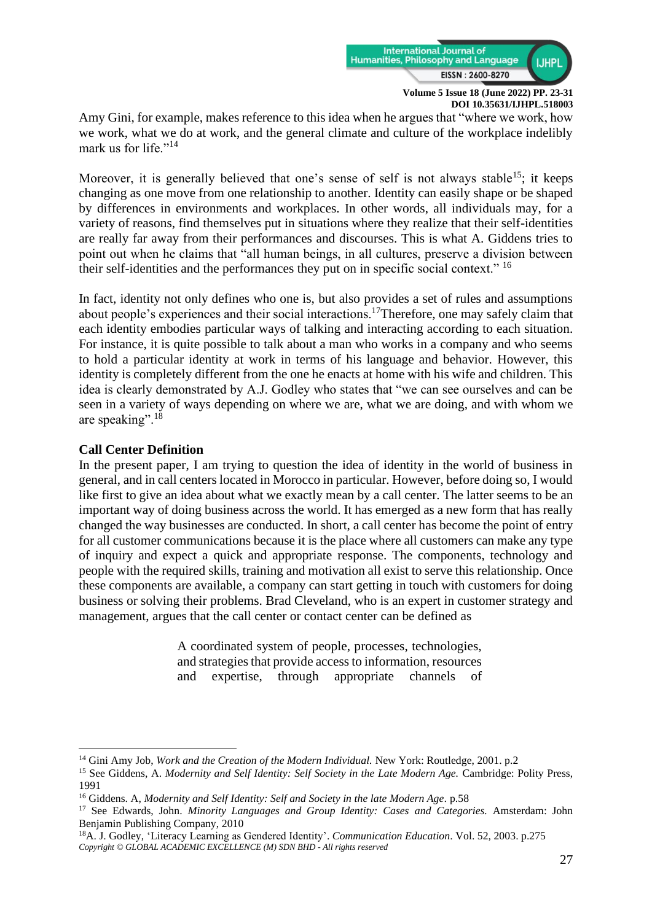

Amy Gini, for example, makes reference to this idea when he argues that "where we work, how we work, what we do at work, and the general climate and culture of the workplace indelibly mark us for life."<sup>14</sup>

Moreover, it is generally believed that one's sense of self is not always stable<sup>15</sup>; it keeps changing as one move from one relationship to another. Identity can easily shape or be shaped by differences in environments and workplaces. In other words, all individuals may, for a variety of reasons, find themselves put in situations where they realize that their self-identities are really far away from their performances and discourses. This is what A. Giddens tries to point out when he claims that "all human beings, in all cultures, preserve a division between their self-identities and the performances they put on in specific social context." <sup>16</sup>

In fact, identity not only defines who one is, but also provides a set of rules and assumptions about people's experiences and their social interactions.<sup>17</sup>Therefore, one may safely claim that each identity embodies particular ways of talking and interacting according to each situation. For instance, it is quite possible to talk about a man who works in a company and who seems to hold a particular identity at work in terms of his language and behavior. However, this identity is completely different from the one he enacts at home with his wife and children. This idea is clearly demonstrated by A.J. Godley who states that "we can see ourselves and can be seen in a variety of ways depending on where we are, what we are doing, and with whom we are speaking".<sup>18</sup>

# **Call Center Definition**

In the present paper, I am trying to question the idea of identity in the world of business in general, and in call centers located in Morocco in particular. However, before doing so, I would like first to give an idea about what we exactly mean by a call center. The latter seems to be an important way of doing business across the world. It has emerged as a new form that has really changed the way businesses are conducted. In short, a call center has become the point of entry for all customer communications because it is the place where all customers can make any type of inquiry and expect a quick and appropriate response. The components, technology and people with the required skills, training and motivation all exist to serve this relationship. Once these components are available, a company can start getting in touch with customers for doing business or solving their problems. Brad Cleveland, who is an expert in customer strategy and management, argues that the call center or contact center can be defined as

> A coordinated system of people, processes, technologies, and strategies that provide access to information, resources and expertise, through appropriate channels of

<sup>&</sup>lt;sup>14</sup> Gini Amy Job, *Work and the Creation of the Modern Individual*. New York: Routledge, 2001. p.2

<sup>&</sup>lt;sup>15</sup> See Giddens, A. *Modernity and Self Identity: Self Society in the Late Modern Age. Cambridge: Polity Press,* 1991

<sup>16</sup> Giddens. A, *Modernity and Self Identity: Self and Society in the late Modern Age.* p.58

<sup>17</sup> See Edwards, John. *Minority Languages and Group Identity: Cases and Categories.* Amsterdam: John Benjamin Publishing Company, 2010

*Copyright © GLOBAL ACADEMIC EXCELLENCE (M) SDN BHD - All rights reserved* <sup>18</sup>A. J. Godley, 'Literacy Learning as Gendered Identity'. *Communication Education*. Vol. 52, 2003. p.275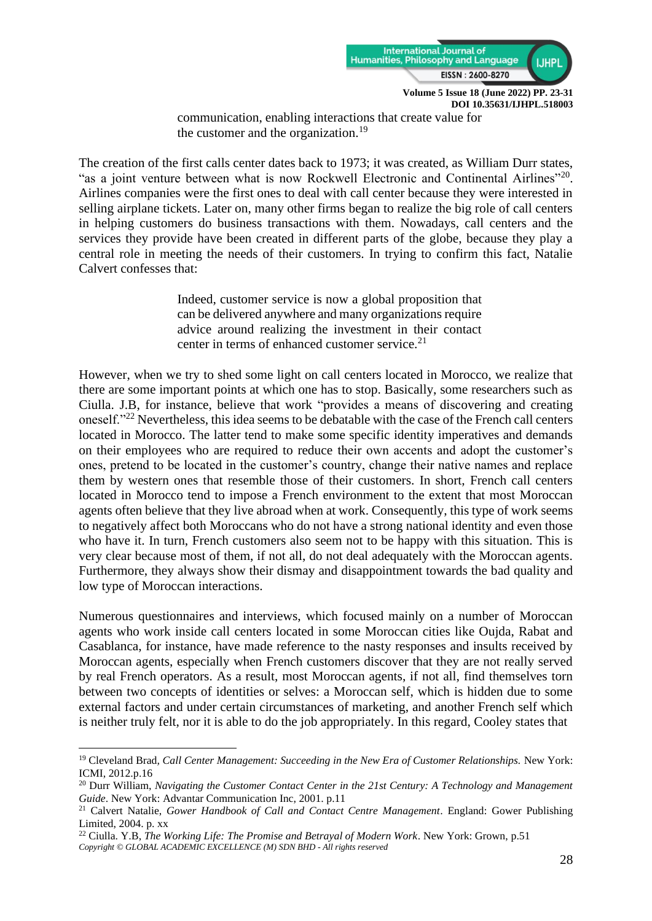

communication, enabling interactions that create value for the customer and the organization.<sup>19</sup>

The creation of the first calls center dates back to 1973; it was created, as William Durr states, "as a joint venture between what is now Rockwell Electronic and Continental Airlines"<sup>20</sup>. Airlines companies were the first ones to deal with call center because they were interested in selling airplane tickets. Later on, many other firms began to realize the big role of call centers in helping customers do business transactions with them. Nowadays, call centers and the services they provide have been created in different parts of the globe, because they play a central role in meeting the needs of their customers. In trying to confirm this fact, Natalie Calvert confesses that:

> Indeed, customer service is now a global proposition that can be delivered anywhere and many organizations require advice around realizing the investment in their contact center in terms of enhanced customer service.<sup>21</sup>

However, when we try to shed some light on call centers located in Morocco, we realize that there are some important points at which one has to stop. Basically, some researchers such as Ciulla. J.B, for instance, believe that work "provides a means of discovering and creating oneself."<sup>22</sup> Nevertheless, this idea seems to be debatable with the case of the French call centers located in Morocco. The latter tend to make some specific identity imperatives and demands on their employees who are required to reduce their own accents and adopt the customer's ones, pretend to be located in the customer's country, change their native names and replace them by western ones that resemble those of their customers. In short, French call centers located in Morocco tend to impose a French environment to the extent that most Moroccan agents often believe that they live abroad when at work. Consequently, this type of work seems to negatively affect both Moroccans who do not have a strong national identity and even those who have it. In turn, French customers also seem not to be happy with this situation. This is very clear because most of them, if not all, do not deal adequately with the Moroccan agents. Furthermore, they always show their dismay and disappointment towards the bad quality and low type of Moroccan interactions.

Numerous questionnaires and interviews, which focused mainly on a number of Moroccan agents who work inside call centers located in some Moroccan cities like Oujda, Rabat and Casablanca, for instance, have made reference to the nasty responses and insults received by Moroccan agents, especially when French customers discover that they are not really served by real French operators. As a result, most Moroccan agents, if not all, find themselves torn between two concepts of identities or selves: a Moroccan self, which is hidden due to some external factors and under certain circumstances of marketing, and another French self which is neither truly felt, nor it is able to do the job appropriately. In this regard, Cooley states that

<sup>19</sup> Cleveland Brad*, Call Center Management: Succeeding in the New Era of Customer Relationships.* New York: ICMI, 2012.p.16

<sup>20</sup> Durr William, *Navigating the Customer Contact Center in the 21st Century: A Technology and Management Guide*. New York: Advantar Communication Inc, 2001. p.11

<sup>21</sup> Calvert Natalie, *Gower Handbook of Call and Contact Centre Management*. England: Gower Publishing Limited, 2004. p. xx

*Copyright © GLOBAL ACADEMIC EXCELLENCE (M) SDN BHD - All rights reserved* <sup>22</sup> Ciulla. Y.B, *The Working Life: The Promise and Betrayal of Modern Work*. New York: Grown, p.51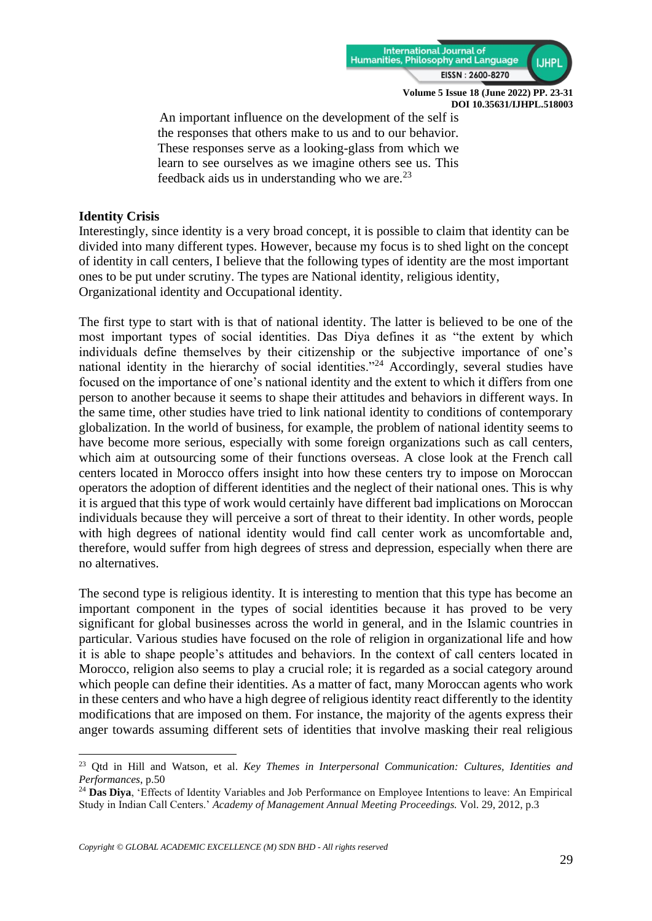

An important influence on the development of the self is the responses that others make to us and to our behavior. These responses serve as a looking-glass from which we learn to see ourselves as we imagine others see us. This feedback aids us in understanding who we are. $^{23}$ 

# **Identity Crisis**

Interestingly, since identity is a very broad concept, it is possible to claim that identity can be divided into many different types. However, because my focus is to shed light on the concept of identity in call centers, I believe that the following types of identity are the most important ones to be put under scrutiny. The types are National identity, religious identity, Organizational identity and Occupational identity.

The first type to start with is that of national identity. The latter is believed to be one of the most important types of social identities. Das Diya defines it as "the extent by which individuals define themselves by their citizenship or the subjective importance of one's national identity in the hierarchy of social identities."<sup>24</sup> Accordingly, several studies have focused on the importance of one's national identity and the extent to which it differs from one person to another because it seems to shape their attitudes and behaviors in different ways. In the same time, other studies have tried to link national identity to conditions of contemporary globalization. In the world of business, for example, the problem of national identity seems to have become more serious, especially with some foreign organizations such as call centers, which aim at outsourcing some of their functions overseas. A close look at the French call centers located in Morocco offers insight into how these centers try to impose on Moroccan operators the adoption of different identities and the neglect of their national ones. This is why it is argued that this type of work would certainly have different bad implications on Moroccan individuals because they will perceive a sort of threat to their identity. In other words, people with high degrees of national identity would find call center work as uncomfortable and, therefore, would suffer from high degrees of stress and depression, especially when there are no alternatives.

The second type is religious identity. It is interesting to mention that this type has become an important component in the types of social identities because it has proved to be very significant for global businesses across the world in general, and in the Islamic countries in particular. Various studies have focused on the role of religion in organizational life and how it is able to shape people's attitudes and behaviors. In the context of call centers located in Morocco, religion also seems to play a crucial role; it is regarded as a social category around which people can define their identities. As a matter of fact, many Moroccan agents who work in these centers and who have a high degree of religious identity react differently to the identity modifications that are imposed on them. For instance, the majority of the agents express their anger towards assuming different sets of identities that involve masking their real religious

<sup>23</sup> Qtd in Hill and Watson, et al. *Key Themes in Interpersonal Communication: Cultures, Identities and Performances*, p.50

<sup>24</sup> **Das Diya**, 'Effects of Identity Variables and Job Performance on Employee Intentions to leave: An Empirical Study in Indian Call Centers.' *Academy of Management Annual Meeting Proceedings.* Vol. 29, 2012, p.3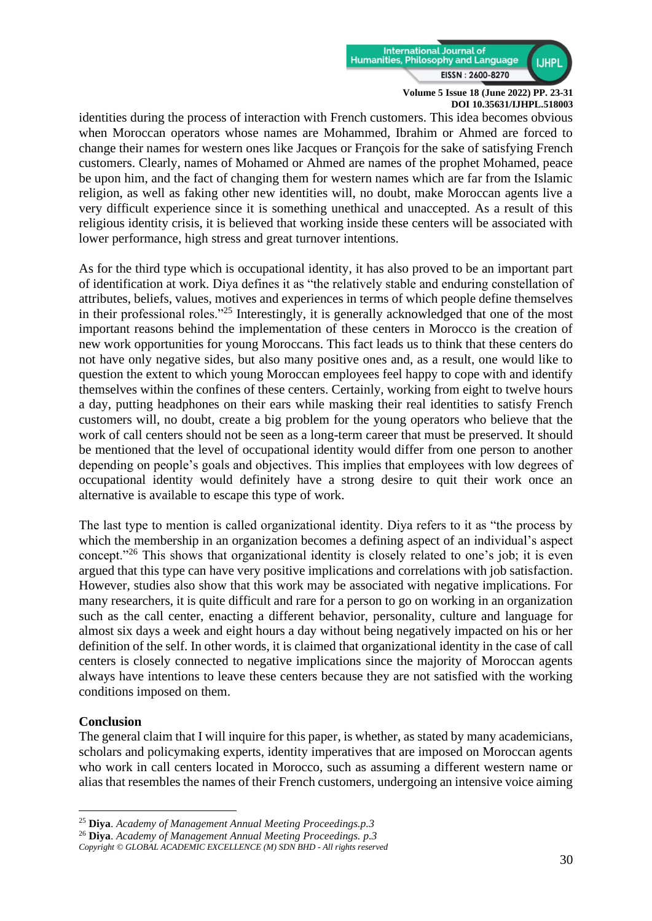

identities during the process of interaction with French customers. This idea becomes obvious when Moroccan operators whose names are Mohammed, Ibrahim or Ahmed are forced to change their names for western ones like Jacques or François for the sake of satisfying French customers. Clearly, names of Mohamed or Ahmed are names of the prophet Mohamed, peace be upon him, and the fact of changing them for western names which are far from the Islamic religion, as well as faking other new identities will, no doubt, make Moroccan agents live a very difficult experience since it is something unethical and unaccepted. As a result of this religious identity crisis, it is believed that working inside these centers will be associated with lower performance, high stress and great turnover intentions.

As for the third type which is occupational identity, it has also proved to be an important part of identification at work. Diya defines it as "the relatively stable and enduring constellation of attributes, beliefs, values, motives and experiences in terms of which people define themselves in their professional roles."<sup>25</sup> Interestingly, it is generally acknowledged that one of the most important reasons behind the implementation of these centers in Morocco is the creation of new work opportunities for young Moroccans. This fact leads us to think that these centers do not have only negative sides, but also many positive ones and, as a result, one would like to question the extent to which young Moroccan employees feel happy to cope with and identify themselves within the confines of these centers. Certainly, working from eight to twelve hours a day, putting headphones on their ears while masking their real identities to satisfy French customers will, no doubt, create a big problem for the young operators who believe that the work of call centers should not be seen as a long-term career that must be preserved. It should be mentioned that the level of occupational identity would differ from one person to another depending on people's goals and objectives. This implies that employees with low degrees of occupational identity would definitely have a strong desire to quit their work once an alternative is available to escape this type of work.

The last type to mention is called organizational identity. Diya refers to it as "the process by which the membership in an organization becomes a defining aspect of an individual's aspect concept."<sup>26</sup> This shows that organizational identity is closely related to one's job; it is even argued that this type can have very positive implications and correlations with job satisfaction. However, studies also show that this work may be associated with negative implications. For many researchers, it is quite difficult and rare for a person to go on working in an organization such as the call center, enacting a different behavior, personality, culture and language for almost six days a week and eight hours a day without being negatively impacted on his or her definition of the self. In other words, it is claimed that organizational identity in the case of call centers is closely connected to negative implications since the majority of Moroccan agents always have intentions to leave these centers because they are not satisfied with the working conditions imposed on them.

## **Conclusion**

The general claim that I will inquire for this paper, is whether, as stated by many academicians, scholars and policymaking experts, identity imperatives that are imposed on Moroccan agents who work in call centers located in Morocco, such as assuming a different western name or alias that resembles the names of their French customers, undergoing an intensive voice aiming

<sup>25</sup> **Diya**. *Academy of Management Annual Meeting Proceedings.p.3*

<sup>26</sup> **Diya**. *Academy of Management Annual Meeting Proceedings. p.3*

*Copyright © GLOBAL ACADEMIC EXCELLENCE (M) SDN BHD - All rights reserved*